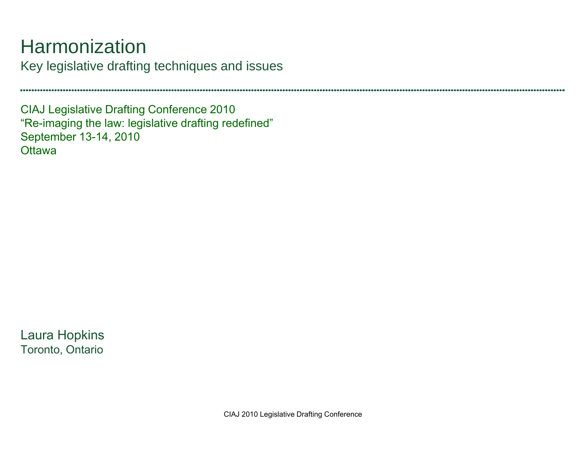## **Harmonization**

Key legislative drafting techniques and issues

CIAJ Legislative Drafting Conference 2010 "Re-imaging the law: legislative drafting redefined" September 13-14, 2010 **Ottawa** 

Laura Hopkins Toronto, Ontario

CIAJ 2010 Legislative Drafting Conference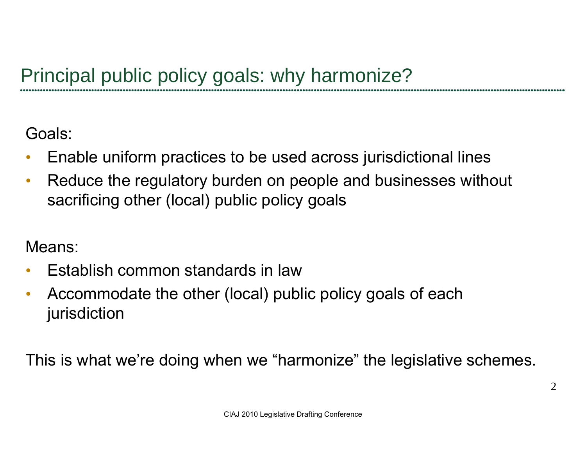Goals:

- $\bullet$ Enable uniform practices to be used across jurisdictional lines
- $\bullet$  Reduce the regulatory burden on people and businesses without sacrificing other (local) public policy goals

Means:

- $\bullet$ Establish common standards in law
- $\bullet$  Accommodate the other (local) public policy goals of each jurisdiction

This is what we're doing when we "harmonize" the legislative schemes.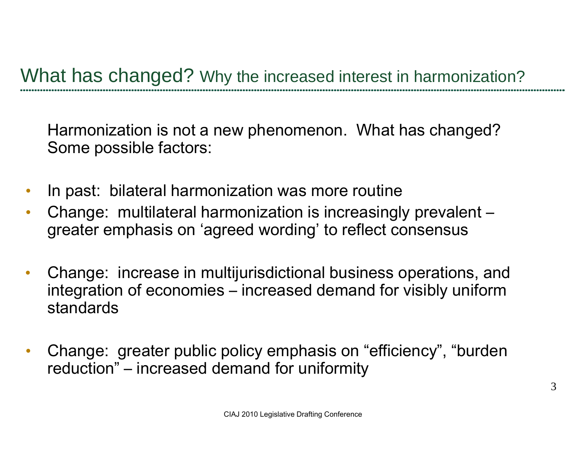What has changed? Why the increased interest in harmonization?

Harmonization is not a new phenomenon. What has changed? Some possible factors:

- $\bullet$ In past: bilateral harmonization was more routine
- • Change: multilateral harmonization is increasingly prevalent – greater emphasis on 'agreed wording' to reflect consensus
- $\bullet$ Change: increase in multijurisdictional business operations, and integration of economies – increased demand for visibly uniform standards
- $\bullet$  Change: greater public policy emphasis on "efficiency", "burden reduction" – increased demand for uniformity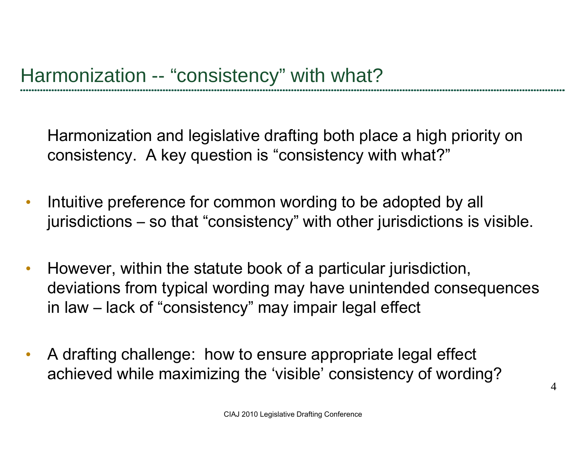Harmonization and legislative drafting both place a high priority on consistency. A key question is "consistency with what?"

- $\bullet$  Intuitive preference for common wording to be adopted by all jurisdictions – so that "consistency" with other jurisdictions is visible.
- $\bullet$  However, within the statute book of a particular jurisdiction, deviations from typical wording may have unintended consequences in law – lack of "consistency" may impair legal effect
- $\bullet$  A drafting challenge: how to ensure appropriate legal effect achieved while maximizing the 'visible' consistency of wording?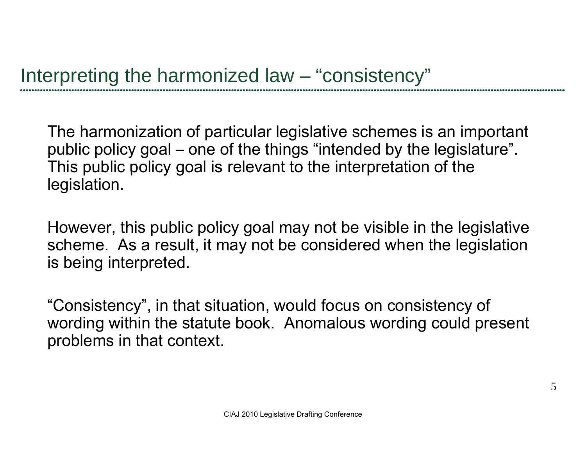The harmonization of particular legislative schemes is an important public policy goal – one of the things "intended by the legislature". This public policy goal is relevant to the interpretation of the legislation.

However, this public policy goal may not be visible in the legislative scheme. As a result, it may not be considered when the legislation is being interpreted.

"Consistency", in that situation, would focus on consistency of wording within the statute book. Anomalous wording could present problems in that context.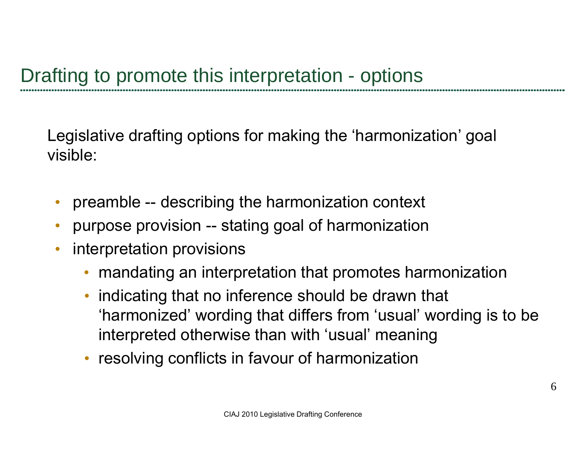Legislative drafting options for making the 'harmonization' goal visible:

- •preamble -- describing the harmonization context
- •purpose provision -- stating goal of harmonization
- • interpretation provisions
	- mandating an interpretation that promotes harmonization
	- indicating that no inference should be drawn that 'harmonized' wording that differs from 'usual' wording is to be interpreted otherwise than with 'usual' meaning
	- resolving conflicts in favour of harmonization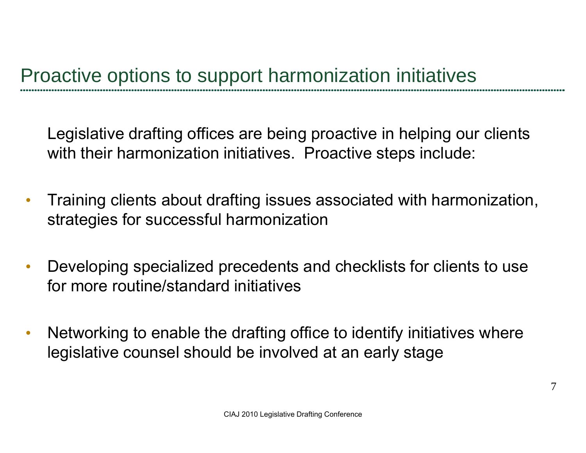Legislative drafting offices are being proactive in helping our clients with their harmonization initiatives. Proactive steps include:

- $\bullet$  Training clients about drafting issues associated with harmonization, strate gies for successful harmonization
- $\bullet$  Developing specialized precedents and checklists for clients to use for more routine/standard initiatives
- $\bullet$  Networking to enable the drafting office to identify initiatives where legislative counsel should be involved at an early stage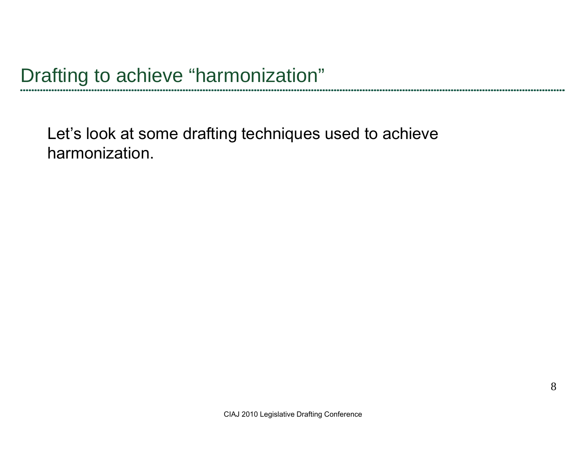Let's look at some drafting techniques used to achieve harmonization.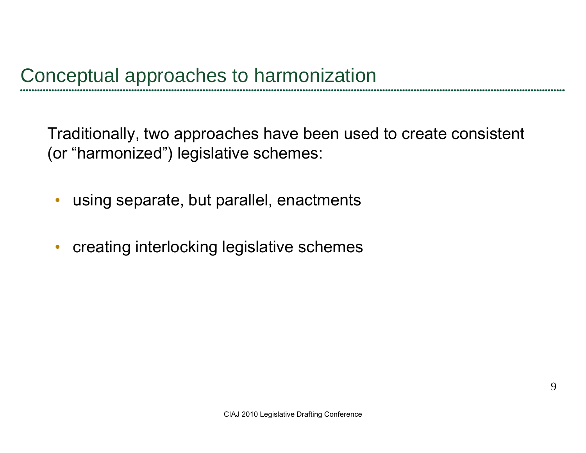Traditionally, two approaches have been used to create consistent (or "harmonized") legislative schemes:

- $\bullet$ using separate, but parallel, enactments
- $\bullet$ creating interlocking legislative schemes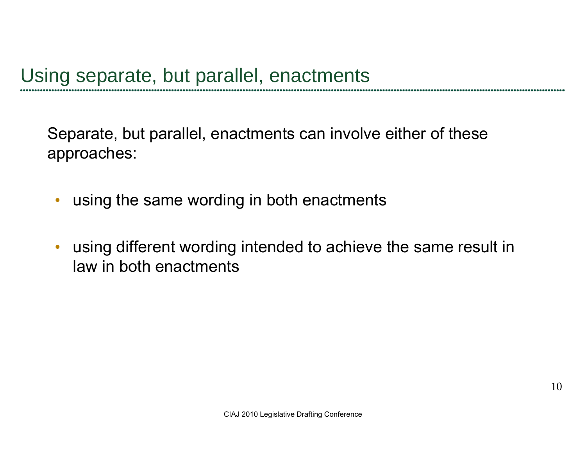Separate, but parallel, enactments can involve either of these approaches:

- $\bullet$ using the same wording in both enactments
- $\bullet$  using different wording intended to achieve the same result in law in both enactments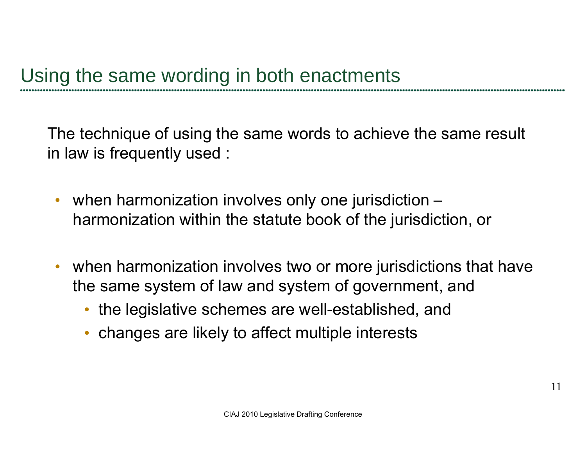The technique of using the same words to achieve the same result in law is frequently used :

- • when harmonization involves only one jurisdiction – harmonization within the statute book of the jurisdiction, or
- when harmonization involves two or more jurisdictions that have the same system of law and system of government, and
	- the legislative schemes are well-established, and
	- •• changes are likely to affect multiple interests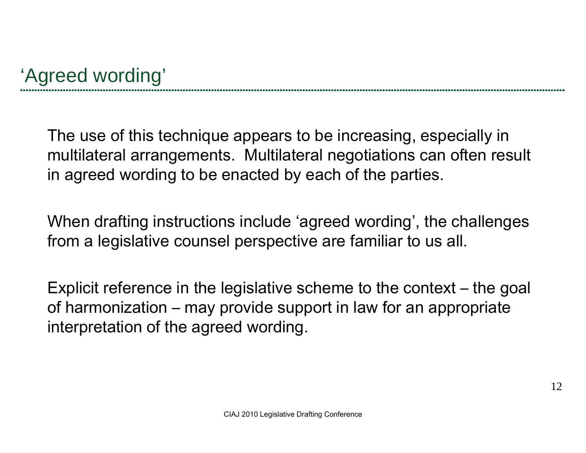The use of this technique appears to be increasing, especially in multilateral arrangements. Multilateral negotiations can often result in agreed wording to be enacted by each of the parties.

When drafting instructions include 'agreed wording', the challenges from a legislative counsel perspective are familiar to us all.

Explicit reference in the legislative scheme to the context – the goal of harmonization – may provide support in law for an appropriate interpretation of the agreed wording.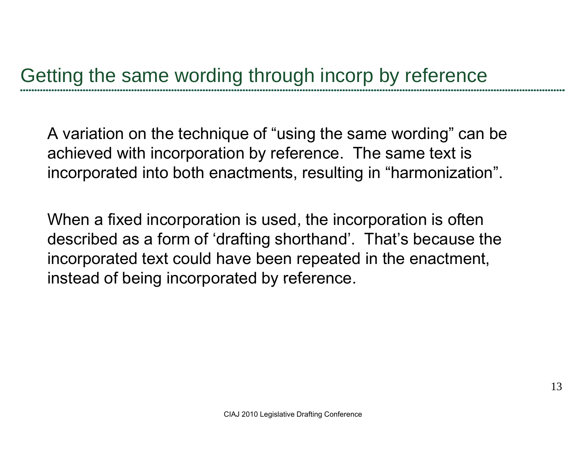A variation on the technique of "using the same wording" can be achieved with incorporation by reference. The same text is incorporated into both enactments, resulting in "harmonization".

When a fixed incorporation is used, the incorporation is often described as a form of 'drafting shorthand'. That's because the incorporated text could have been repeated in the enactment, instead of being incorporated by reference.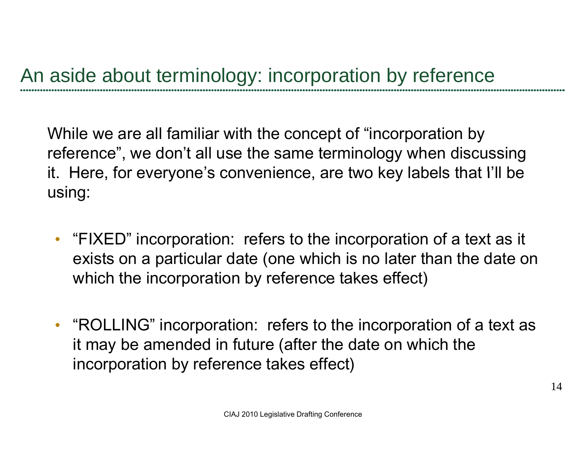While we are all familiar with the concept of "incorporation by reference", we don't all use the same terminology when discussing it. Here, for everyone's convenience, are two key labels that I'll be using:

- "FIXED" incorporation: refers to the incorporation of a text as it exists on a particular date (one which is no later than the date on which the incorporation by reference takes effect)
- "ROLLING" incorporation: refers to the incorporation of a text as it may be amended in future (after the date on which the incorporation by reference takes effect)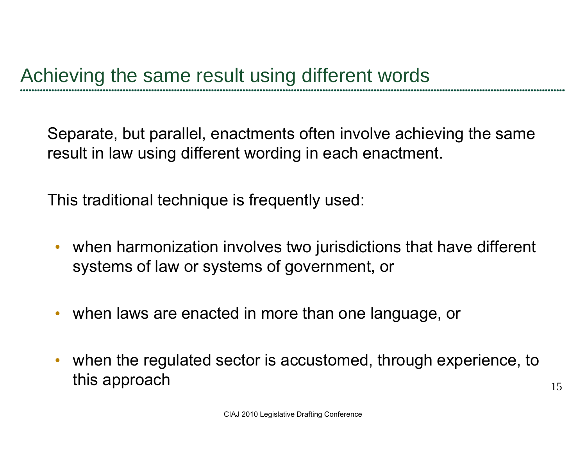Separate, but parallel, enactments often involve achieving the same result in law using different wording in each enactment.

This traditional technique is frequently used:

- when harmonization involves two jurisdictions that have different systems of law or systems of government, or
- when laws are enacted in more than one language, or
- when the regulated sector is accustomed, through experience, to this approach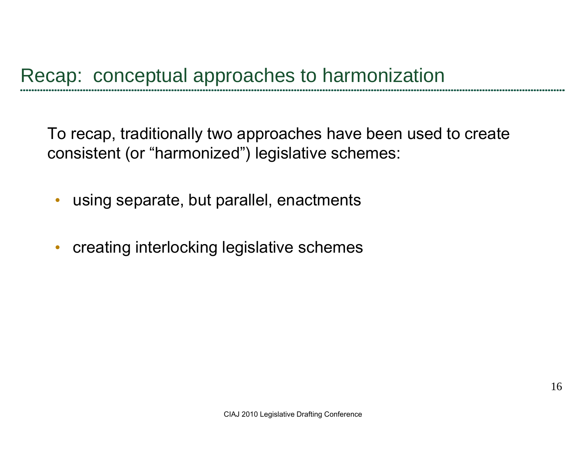To recap, traditionally two approaches have been used to create consistent (or "harmonized") legislative schemes:

- $\bullet$ using separate, but parallel, enactments
- $\bullet$ creating interlocking legislative schemes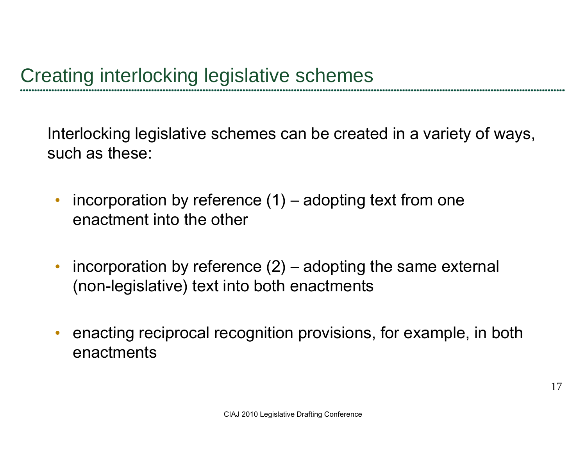Interlocking legislative schemes can be created in a variety of ways, such as these:

- • incorporation by reference (1) – adopting text from one enactment into the other
- $\bullet$  incorporation by reference (2) – adopting the same external (non-legislative) text into both enactments
- •• enacting reciprocal recognition provisions, for example, in both enactments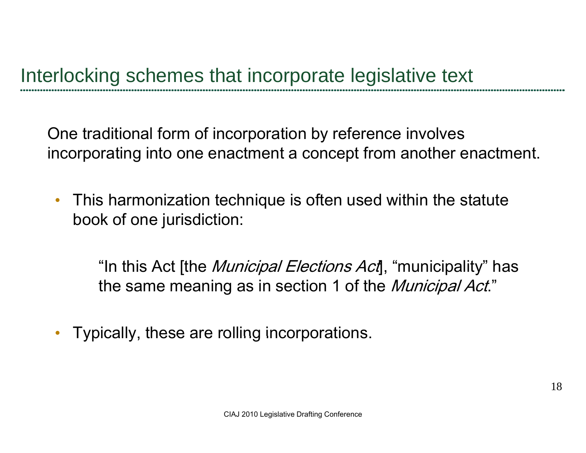One traditional form of incorporation by reference involves incorporating into one enactment a concept from another enactment.

 $\bullet$  This harmonization technique is often used within the statute book of one jurisdiction:

"In this Act [the *Municipal Elections Act*], "municipality" has the same meaning as in section 1 of the *Municipal Act*."

•• Typically, these are rolling incorporations.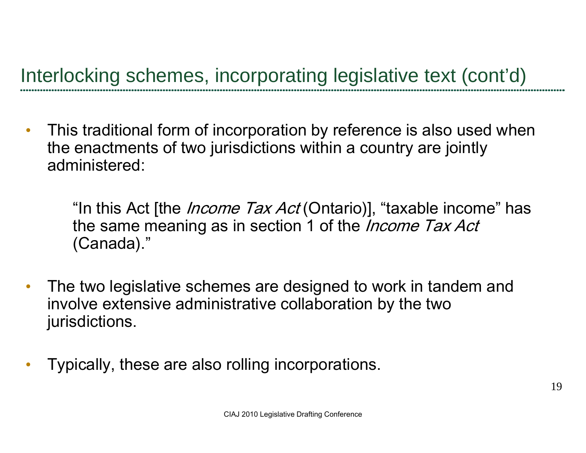Interlocking schemes, incorporating legislative text (cont'd)

 $\bullet$  This traditional form of incorporation by reference is also used when the enactments of two jurisdictions within a country are jointly administered:

"In this Act [the *Income Tax Act* (Ontario)], "taxable income" has the same meaning as in section 1 of the *Income Tax Act* (Canada)."

- $\bullet$ • The two legislative schemes are designed to work in tandem and involve extensive administrative collaboration by the two jurisdictions.
- $\bullet$ Typically, these are also rolling incorporations.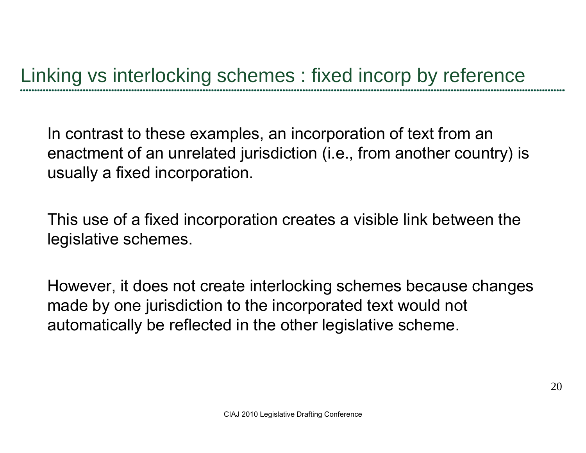In contrast to these examples, an incorporation of text from an enactment of an unrelated jurisdiction (i.e., from another country) is usually a fixed incorporation.

This use of a fixed incor poration creates a visible link between the legislative schemes.

However, it does not create interlocking schemes because changes made by one jurisdiction to the incorporated text would not automatically be reflected in the other legislative scheme.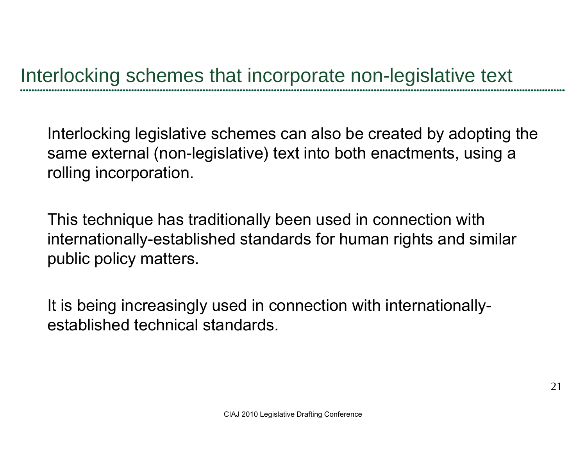Interlocking legislative schemes can also be created by adopting the same external (non-legislative) text into both enactments, using a rolling incorporation.

This technique has traditionally been used in connection with internationally-established standards for human rights and similar public policy matters.

It is being increasingly used in connection with internationallyestablished technical standards.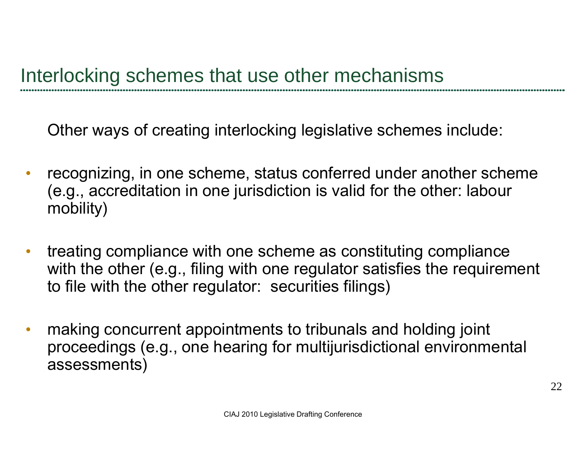Other ways of creating interlocking legislative schemes include:

- $\bullet$ recognizing, in one scheme, status conferred under another scheme (e.g., accreditation in one jurisdiction is valid for the other: labour mobility)
- $\bullet$  treating compliance with one scheme as constituting compliance with the other (e.g., filing with one regulator satisfies the requirement to file with the other regulator: securities filings)
- $\bullet$ • making concurrent appointments to tribunals and holding joint proceedings (e.g., one hearing for multijurisdictional environmental assessments)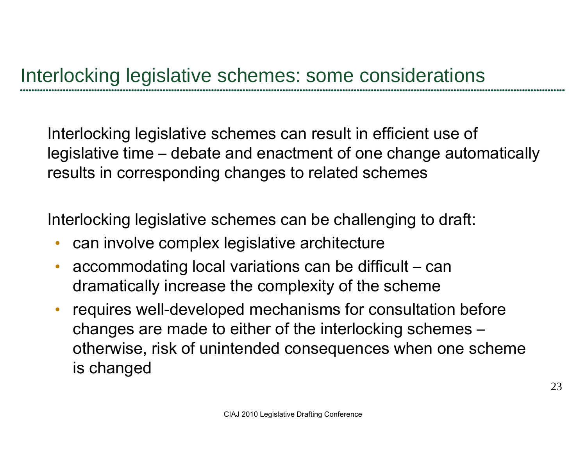Interlocking legislative schemes can result in efficient use of legislative time – debate and enactment of one change automatically results in corresponding changes to related schemes

Interlocking legislative schemes can be challenging to draft:

- •can involve complex legislative architecture
- accommodating local variations can be difficult can dramatically increase the complexity of the scheme
- • requires well-developed mechanisms for consultation before chan ges are made to either of the interlockin g schemes ges are made to either of the interlocking schemes – otherwise, risk of unintended consequences when one scheme is changed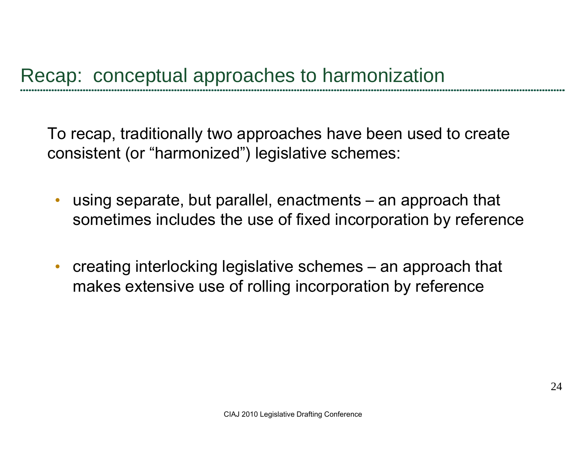To recap, traditionally two approaches have been used to create consistent (or "harmonized") legislative schemes:

- • using separate, but parallel, enactments – an approach that sometimes includes the use of fixed incorporation by reference
- • creating interlocking legislative schemes – an approach that makes extensive use of rolling incorporation by reference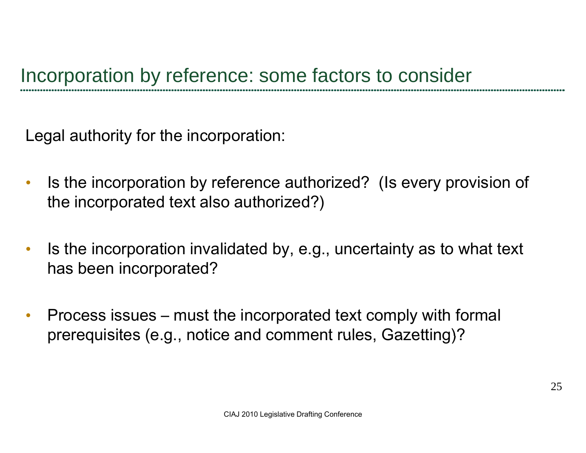Legal authority for the incorporation:

- $\bullet$  Is the incorporation by reference authorized? (Is every provision of the incorporated text also authorized?)
- $\bullet$  Is the incorporation invalidated by, e.g., uncertainty as to what text has been incorporated?
- $\bullet$  Process issues – must the incorporated text comply with formal prerequisites (e.g., notice and comment rules, Gazetting)?<br>clad 2010 Legislative Drafting Conference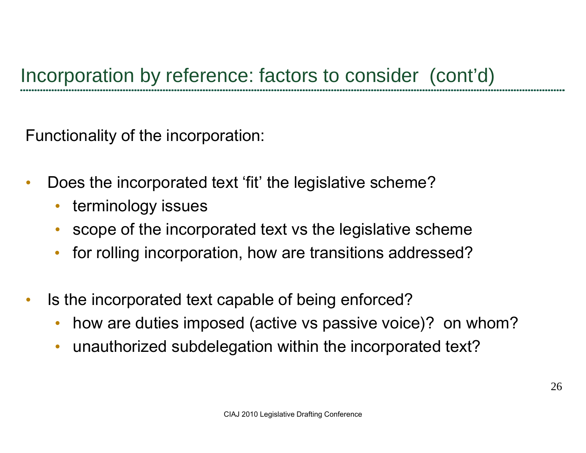Functionality of the incorporation:

- • Does the incorporated text 'fit' the legislative scheme?
	- terminology issues
	- •• scope of the incorporated text vs the legislative scheme
	- •for rolling incorporation, how are transitions addressed?
- $\bullet$  Is the incorporated text capable of being enforced?
	- •how are duties imposed (active vs passive voice)? on whom?
	- •unauthorized subdelegation within the incorporated text?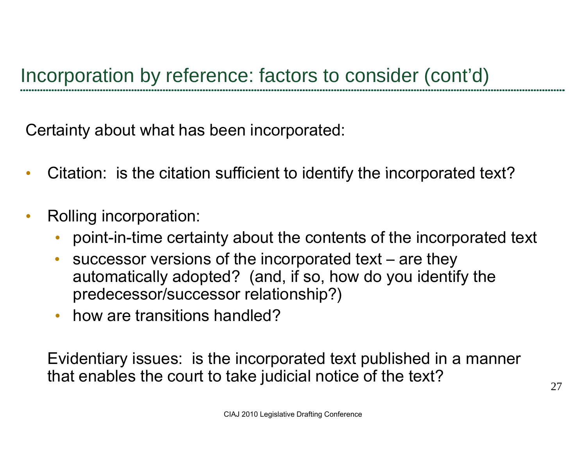Certainty about what has been incorporated:

- $\bullet$ Citation: is the citation sufficient to identify the incorporated text?
- $\bullet$  Rolling incorporation:
	- •point-in-time certainty about the contents of the incorporated text
	- • successor versions of the incorporated text – are they automatically adopted? (and, if so, how do you identify the predecessor/successor relationship?)
	- how are transitions handled?

Evidentiary issues: is the incorporated text published in a manner that enables the court to take judicial notice of the text?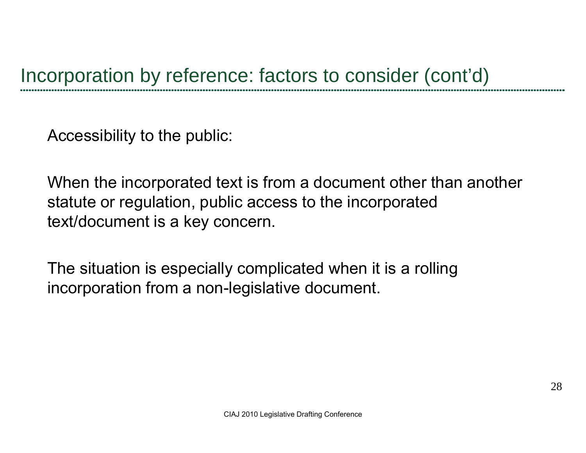Accessibility to the public:

When the incorporated text is from a document other than another statute or regulation, public access to the incorporated text/document is <sup>a</sup> key concern.

The situation is especially complicated when it is a rolling incorporation from a non-legislative document.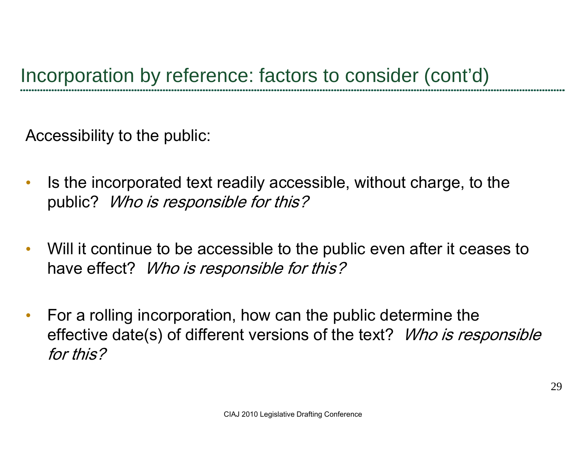Accessibility to the public:

- $\bullet$  Is the incorporated text readily accessible, without charge, to the public? Who is responsible for this?
- $\bullet$  Will it continue to be accessible to the public even after it ceases to have effect? Who is responsible for this?
- $\bullet$  For a rolling incorporation, how can the public determine the effective date(s) of different versions of the text? *Who is responsible* for this?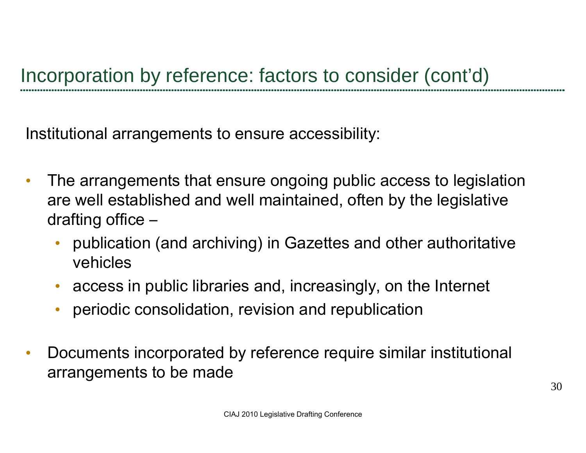Institutional arrangements to ensure accessibility:

- $\bullet$  The arrangements that ensure ongoing public access to legislation are well established and well maintained, often by the legislative draftin g office –
	- publication (and archiving) in Gazettes and other authoritative vehicles
	- access in public libraries and, increasingly, on the Internet
	- •periodic consolidation, revision and republication
- $\bullet$  Documents incorporated by reference require similar institutional arrangements to be made